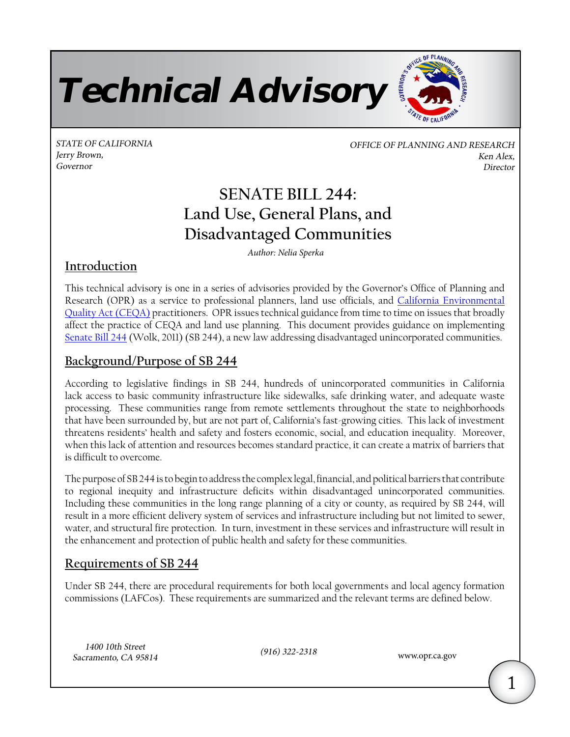Technical Advisory

STATE OF CALIFORNIA GENERAL STATE OF PLANNING AND RESEARCH Jerry Brown, Ken Alex, Ken Alex, Ken Alex, Ken Alex, Ken Alex, Ken Alex, Ken Alex, Ken Alex, Ken Alex, Ken Alex, Ken Alex, Ken Alex, Ken Alex, Ken Alex, Ken Alex, Ken Alex, Ken Alex, Ken Alex, Ken Alex, Ken Alex, Ken Alex, Governor Director

OFFICE OF PLANNING

# **SENATE BILL 244: Land Use, General Plans, and Disadvantaged Communities**

*Author: Nelia Sperka* 

### **Introduction**

This technical advisory is one in a series of advisories provided by the Governor's Office of Planning and Research (OPR) as a service to professional planners, land use officials, and [California Environmental](http://www.opr.ca.gov/m_ceqa.php) [Quality Act \(CEQA\)](http://www.opr.ca.gov/m_ceqa.php) practitioners. OPR issues technical guidance from time to time on issues that broadly affect the practice of CEQA and land use planning. This document provides guidance on implementing [Senate Bill 244](http://www.leginfo.ca.gov/pub/11-12/bill/sen/sb_0201-0250/sb_244_bill_20111007_chaptered.pdf) (Wolk, 2011) (SB 244), a new law addressing disadvantaged unincorporated communities.

### **Background/Purpose of SB 244**

According to legislative findings in SB 244, hundreds of unincorporated communities in California lack access to basic community infrastructure like sidewalks, safe drinking water, and adequate waste processing. These communities range from remote settlements throughout the state to neighborhoods that have been surrounded by, but are not part of, California's fast-growing cities. This lack of investment threatens residents' health and safety and fosters economic, social, and education inequality. Moreover, when this lack of attention and resources becomes standard practice, it can create a matrix of barriers that is difficult to overcome.

The purpose of SB 244 is to begin to address the complex legal, financial, and political barriers that contribute to regional inequity and infrastructure deficits within disadvantaged unincorporated communities. Including these communities in the long range planning of a city or county, as required by SB 244, will result in a more efficient delivery system of services and infrastructure including but not limited to sewer, water, and structural fire protection. In turn, investment in these services and infrastructure will result in the enhancement and protection of public health and safety for these communities.

### **Requirements of SB 244**

Under SB 244, there are procedural requirements for both local governments and local agency formation commissions (LAFCos). These requirements are summarized and the relevant terms are defined below.

1400 10th Street (916) 322-2318 Sacramento, CA 95814 <www.opr.ca.gov>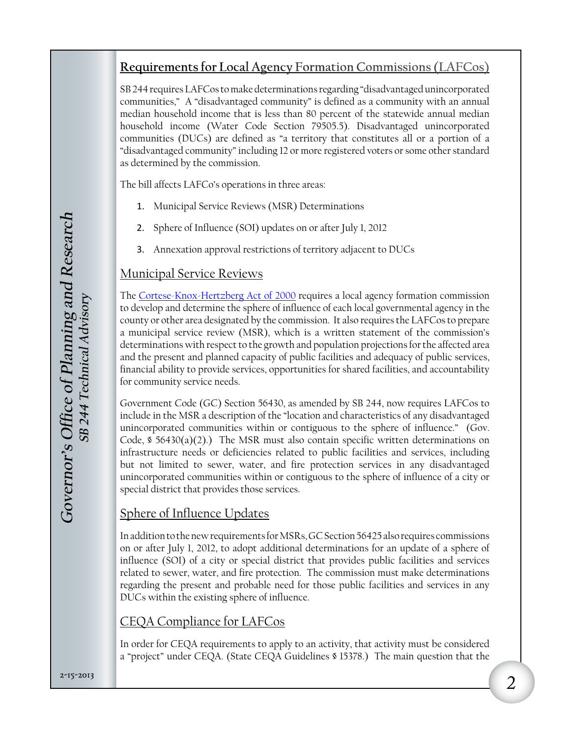### **Requirements for Local Agency Formation Commissions (LAFCos)**

SB 244 requires LAFCos to make determinations regarding "disadvantaged unincorporated communities," A "disadvantaged community" is defined as a community with an annual median household income that is less than 80 percent of the statewide annual median household income (Water Code Section 79505.5). Disadvantaged unincorporated communities (DUCs) are defined as "a territory that constitutes all or a portion of a "disadvantaged community" including 12 or more registered voters or some other standard as determined by the commission.

The bill affects LAFCo's operations in three areas:

- 1. Municipal Service Reviews (MSR) Determinations
- 2. Sphere of Influence (SOI) updates on or after July 1, 2012
- 3. Annexation approval restrictions of territory adjacent to DUCs

### Municipal Service Reviews

The [Cortese-Knox-Hertzberg](https://www.google.com/url?q=http://opr.ca.gov/docs/Cortese-Knox-Hertzberg-Act.pdf&sa=U&ei=VUjOT7bLCaOJmQWfn5CQCg&ved=0CAUQFjAA&client=internal-uds-cse&usg=AFQjCNGuF2Rk97loKtqLzwHyw0Zc9WHi5A) Act of 2000 requires a local agency formation commission to develop and determine the sphere of influence of each local governmental agency in the county or other area designated by the commission. It also requires the LAFCos to prepare a municipal service review (MSR), which is a written statement of the commission's determinations with respect to the growth and population projections for the affected area and the present and planned capacity of public facilities and adequacy of public services, financial ability to provide services, opportunities for shared facilities, and accountability for community service needs.

Government Code (GC) Section 56430, as amended by SB 244, now requires LAFCos to include in the MSR a description of the "location and characteristics of any disadvantaged unincorporated communities within or contiguous to the sphere of influence." (Gov. Code,  $\$$  56430(a)(2).) The MSR must also contain specific written determinations on infrastructure needs or deficiencies related to public facilities and services, including but not limited to sewer, water, and fire protection services in any disadvantaged unincorporated communities within or contiguous to the sphere of influence of a city or special district that provides those services.

### Sphere of Influence Updates

In addition to the new requirements for MSRs, GC Section 56425 also requires commissions on or after July 1, 2012, to adopt additional determinations for an update of a sphere of influence (SOI) of a city or special district that provides public facilities and services related to sewer, water, and fire protection. The commission must make determinations regarding the present and probable need for those public facilities and services in any DUCs within the existing sphere of influence.

### CEQA Compliance for LAFCos

In order for CEQA requirements to apply to an activity, that activity must be considered a "project" under CEQA. (State CEQA Guidelines § 15378.) The main question that the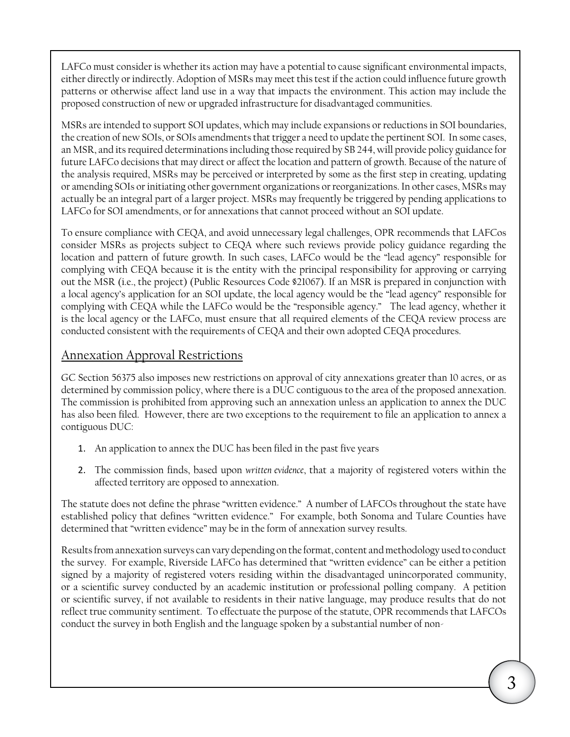LAFCo must consider is whether its action may have a potential to cause significant environmental impacts, either directly or indirectly. Adoption of MSRs may meet this test if the action could influence future growth patterns or otherwise affect land use in a way that impacts the environment. This action may include the proposed construction of new or upgraded infrastructure for disadvantaged communities.

MSRs are intended to support SOI updates, which may include expansions or reductions in SOI boundaries, the creation of new SOIs, or SOIs amendments that trigger a need to update the pertinent SOI. In some cases, an MSR, and its required determinations including those required by SB 244, will provide policy guidance for future LAFCo decisions that may direct or affect the location and pattern of growth. Because of the nature of the analysis required, MSRs may be perceived or interpreted by some as the first step in creating, updating or amending SOIs or initiating other government organizations or reorganizations. In other cases, MSRs may actually be an integral part of a larger project. MSRs may frequently be triggered by pending applications to LAFCo for SOI amendments, or for annexations that cannot proceed without an SOI update.

 complying with CEQA while the LAFCo would be the "responsible agency." The lead agency, whether it To ensure compliance with CEQA, and avoid unnecessary legal challenges, OPR recommends that LAFCos consider MSRs as projects subject to CEQA where such reviews provide policy guidance regarding the location and pattern of future growth. In such cases, LAFCo would be the "lead agency" responsible for complying with CEQA because it is the entity with the principal responsibility for approving or carrying out the MSR (i.e., the project) (Public Resources Code §21067). If an MSR is prepared in conjunction with a local agency's application for an SOI update, the local agency would be the "lead agency" responsible for is the local agency or the LAFCo, must ensure that all required elements of the CEQA review process are conducted consistent with the requirements of CEQA and their own adopted CEQA procedures.

### Annexation Approval Restrictions

GC Section 56375 also imposes new restrictions on approval of city annexations greater than 10 acres, or as determined by commission policy, where there is a DUC contiguous to the area of the proposed annexation. The commission is prohibited from approving such an annexation unless an application to annex the DUC has also been filed. However, there are two exceptions to the requirement to file an application to annex a contiguous DUC:

- 1. An application to annex the DUC has been filed in the past five years
- 2. The commission finds, based upon *written evidence*, that a majority of registered voters within the affected territory are opposed to annexation.

The statute does not define the phrase "written evidence." A number of LAFCOs throughout the state have established policy that defines "written evidence." For example, both Sonoma and Tulare Counties have determined that "written evidence" may be in the form of annexation survey results.

Results from annexation surveys can vary depending on the format, content and methodology used to conduct the survey. For example, Riverside LAFCo has determined that "written evidence" can be either a petition signed by a majority of registered voters residing within the disadvantaged unincorporated community, or a scientific survey conducted by an academic institution or professional polling company. A petition or scientific survey, if not available to residents in their native language, may produce results that do not reflect true community sentiment. To effectuate the purpose of the statute, OPR recommends that LAFCOs conduct the survey in both English and the language spoken by a substantial number of non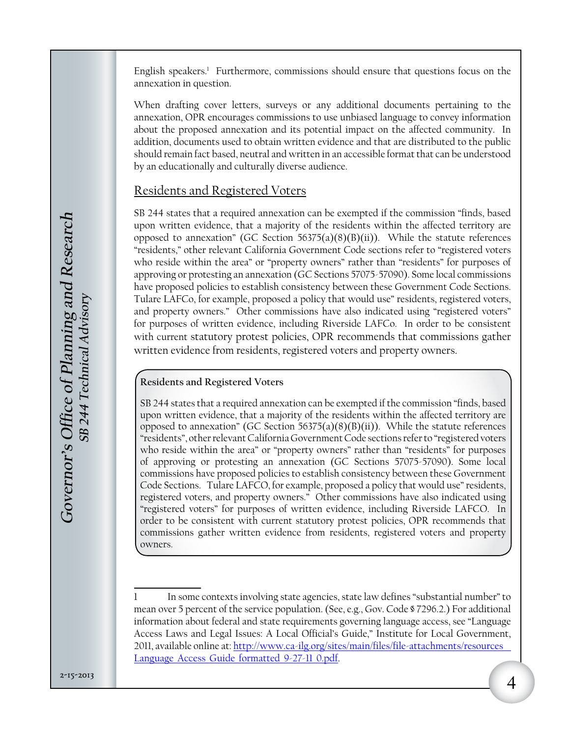English speakers.<sup>1</sup> Furthermore, commissions should ensure that questions focus on the annexation in question.

When drafting cover letters, surveys or any additional documents pertaining to the annexation, OPR encourages commissions to use unbiased language to convey information about the proposed annexation and its potential impact on the affected community. In addition, documents used to obtain written evidence and that are distributed to the public should remain fact based, neutral and written in an accessible format that can be understood by an educationally and culturally diverse audience.

### Residents and Registered Voters

SB 244 states that a required annexation can be exempted if the commission "finds, based upon written evidence, that a majority of the residents within the affected territory are opposed to annexation" (GC Section  $56375(a)(8)(B)(ii)$ ). While the statute references "residents," other relevant California Government Code sections refer to "registered voters who reside within the area" or "property owners" rather than "residents" for purposes of approving or protesting an annexation (GC Sections 57075-57090). Some local commissions have proposed policies to establish consistency between these Government Code Sections. Tulare LAFCo, for example, proposed a policy that would use" residents, registered voters, and property owners." Other commissions have also indicated using "registered voters" for purposes of written evidence, including Riverside LAFCo. In order to be consistent with current statutory protest policies, OPR recommends that commissions gather written evidence from residents, registered voters and property owners.

#### **Residents and Registered Voters**

 Code Sections. Tulare LAFCO, for example, proposed a policy that would use" residents, SB 244 states that a required annexation can be exempted if the commission "finds, based upon written evidence, that a majority of the residents within the affected territory are opposed to annexation" (GC Section  $56375(a)(8)(B)(ii)$ ). While the statute references "residents", other relevant California Government Code sections refer to "registered voters who reside within the area" or "property owners" rather than "residents" for purposes of approving or protesting an annexation (GC Sections 57075-57090). Some local commissions have proposed policies to establish consistency between these Government registered voters, and property owners." Other commissions have also indicated using "registered voters" for purposes of written evidence, including Riverside LAFCO. In order to be consistent with current statutory protest policies, OPR recommends that commissions gather written evidence from residents, registered voters and property owners.

In some contexts involving state agencies, state law defines "substantial number" to mean over 5 percent of the service population. (See, e.g., Gov. Code § 7296.2.) For additional information about federal and state requirements governing language access, see "Language Access Laws and Legal Issues: A Local Official's Guide," Institute for Local Government, 2011, available online at: [http://www.ca-ilg.org/sites/main/files/file-attachments/resources\\_\\_](http://www.ca-ilg.org/sites/main/files/file-attachments/resources__Language_Access_Guide_formatted_9-27-11_0.pdf) Language Access Guide formatted 9-27-11 0.pdf. 1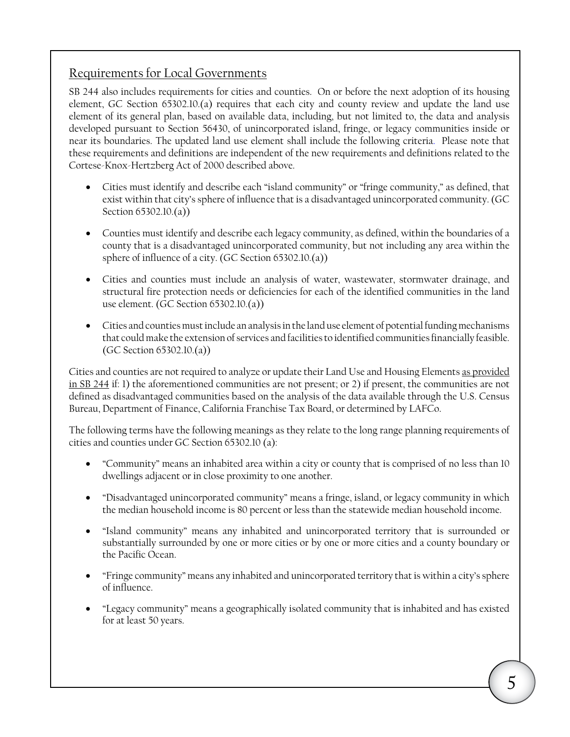### Requirements for Local Governments

SB 244 also includes requirements for cities and counties. On or before the next adoption of its housing element, GC Section 65302.10.(a) requires that each city and county review and update the land use element of its general plan, based on available data, including, but not limited to, the data and analysis developed pursuant to Section 56430, of unincorporated island, fringe, or legacy communities inside or near its boundaries. The updated land use element shall include the following criteria. Please note that these requirements and definitions are independent of the new requirements and definitions related to the Cortese-Knox-Hertzberg Act of 2000 described above.

- Cities must identify and describe each "island community" or "fringe community," as defined, that exist within that city's sphere of influence that is a disadvantaged unincorporated community. (GC Section 65302.10.(a))
- Counties must identify and describe each legacy community, as defined, within the boundaries of a county that is a disadvantaged unincorporated community, but not including any area within the sphere of influence of a city. (GC Section 65302.10.(a))
- • Cities and counties must include an analysis of water, wastewater, stormwater drainage, and structural fire protection needs or deficiencies for each of the identified communities in the land use element. (GC Section 65302.10.(a))
- • Cities and counties must include an analysis in the land use element of potential funding mechanisms that could make the extension of services and facilities to identified communities financially feasible. (GC Section 65302.10.(a))

Cities and counties are not required to analyze or update their Land Use and Housing Elements as provided in SB 244 if: 1) the aforementioned communities are not present; or 2) if present, the communities are not defined as disadvantaged communities based on the analysis of the data available through the U.S. Census Bureau, Department of Finance, California Franchise Tax Board, or determined by LAFCo.

The following terms have the following meanings as they relate to the long range planning requirements of cities and counties under GC Section [65302.10](https://65302.10) (a):

- "Community" means an inhabited area within a city or county that is comprised of no less than 10 dwellings adjacent or in close proximity to one another.
- • "Disadvantaged unincorporated community" means a fringe, island, or legacy community in which the median household income is 80 percent or less than the statewide median household income.
- • "Island community" means any inhabited and unincorporated territory that is surrounded or substantially surrounded by one or more cities or by one or more cities and a county boundary or the Pacific Ocean.
- • "Fringe community" means any inhabited and unincorporated territory that is within a city's sphere of influence.
- • "Legacy community" means a geographically isolated community that is inhabited and has existed for at least 50 years.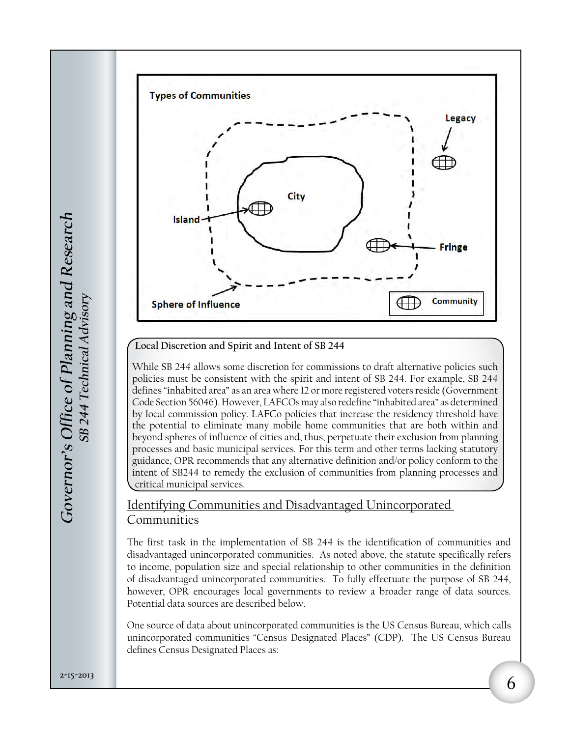

**Local Discretion and Spirit and Intent of SB 244** 

While SB 244 allows some discretion for commissions to draft alternative policies such policies must be consistent with the spirit and intent of SB 244. For example, SB 244 defines "inhabited area" as an area where 12 or more registered voters reside (Government Code Section 56046). However, LAFCOs may also redefine "inhabited area" as determined by local commission policy. LAFCo policies that increase the residency threshold have the potential to eliminate many mobile home communities that are both within and beyond spheres of influence of cities and, thus, perpetuate their exclusion from planning processes and basic municipal services. For this term and other terms lacking statutory guidance, OPR recommends that any alternative definition and/or policy conform to the intent of SB244 to remedy the exclusion of communities from planning processes and critical municipal services.

### Identifying Communities and Disadvantaged Unincorporated Communities

The first task in the implementation of SB 244 is the identification of communities and disadvantaged unincorporated communities. As noted above, the statute specifically refers to income, population size and special relationship to other communities in the definition of disadvantaged unincorporated communities. To fully effectuate the purpose of SB 244, however, OPR encourages local governments to review a broader range of data sources. Potential data sources are described below.

One source of data about unincorporated communities is the US Census Bureau, which calls unincorporated communities "Census Designated Places" (CDP). The US Census Bureau defines Census Designated Places as: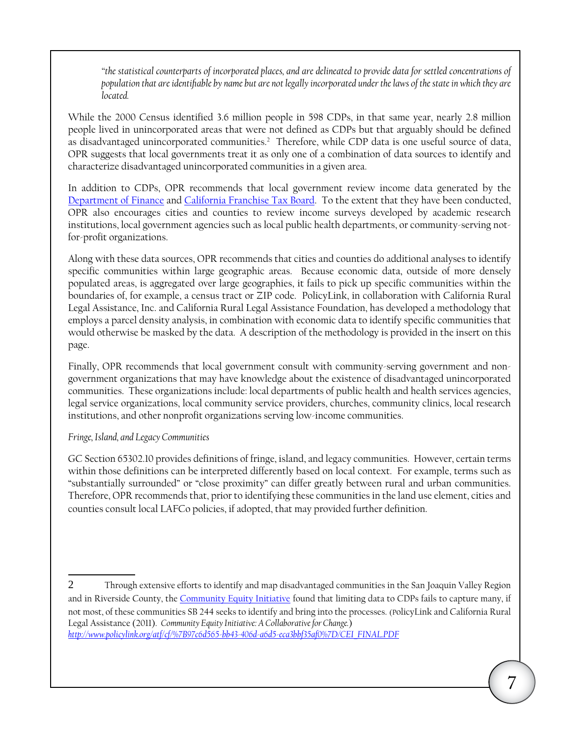*"the statistical counterparts of incorporated places, and are delineated to provide data for settled concentrations of population that are identifiable by name but are not legally incorporated under the laws of the state in which they are located.* 

as disadvantaged unincorporated communities.<sup>2</sup> Therefore, while CDP data is one useful source of data, While the 2000 Census identified 3.6 million people in 598 CDPs, in that same year, nearly 2.8 million people lived in unincorporated areas that were not defined as CDPs but that arguably should be defined OPR suggests that local governments treat it as only one of a combination of data sources to identify and characterize disadvantaged unincorporated communities in a given area.

In addition to CDPs, OPR recommends that local government review income data generated by the [Department of Finance](http://www.dof.ca.gov/) and [California Franchise Tax Board](https://www.ftb.ca.gov/index.shtml?disabled=true). To the extent that they have been conducted, OPR also encourages cities and counties to review income surveys developed by academic research institutions, local government agencies such as local public health departments, or community-serving notfor-profit organizations.

Along with these data sources, OPR recommends that cities and counties do additional analyses to identify specific communities within large geographic areas. Because economic data, outside of more densely populated areas, is aggregated over large geographies, it fails to pick up specific communities within the boundaries of, for example, a census tract or ZIP code. PolicyLink, in collaboration with California Rural Legal Assistance, Inc. and California Rural Legal Assistance Foundation, has developed a methodology that employs a parcel density analysis, in combination with economic data to identify specific communities that would otherwise be masked by the data. A description of the methodology is provided in the insert on this page.

Finally, OPR recommends that local government consult with community-serving government and nongovernment organizations that may have knowledge about the existence of disadvantaged unincorporated communities. These organizations include: local departments of public health and health services agencies, legal service organizations, local community service providers, churches, community clinics, local research institutions, and other nonprofit organizations serving low-income communities.

#### *Fringe, Island, and Legacy Communities*

GC Section [65302.10](https://65302.10) provides definitions of fringe, island, and legacy communities. However, certain terms within those definitions can be interpreted differently based on local context. For example, terms such as "substantially surrounded" or "close proximity" can differ greatly between rural and urban communities. Therefore, OPR recommends that, prior to identifying these communities in the land use element, cities and counties consult local LAFCo policies, if adopted, that may provided further definition.

 2 Through extensive efforts to identify and map disadvantaged communities in the San Joaquin Valley Region and in Riverside County, the [Community Equity Initiative](http://www.crla.org/community-equity-initiative) found that limiting data to CDPs fails to capture many, if not most, of these communities SB 244 seeks to identify and bring into the processes. (PolicyLink and California Rural Legal Assistance (2011). *Community Equity Initiative: A Collaborative for Change.*) *[http://www.policylink.org/atf/cf/%7B97c6d565-bb43-406d-a6d5-eca3bbf35af0%7D/CEI\\_FINAL.PDF](http://www.policylink.org/atf/cf/%7B97c6d565-bb43-406d-a6d5-eca3bbf35af0%7D/CEI_FINAL.PDF)*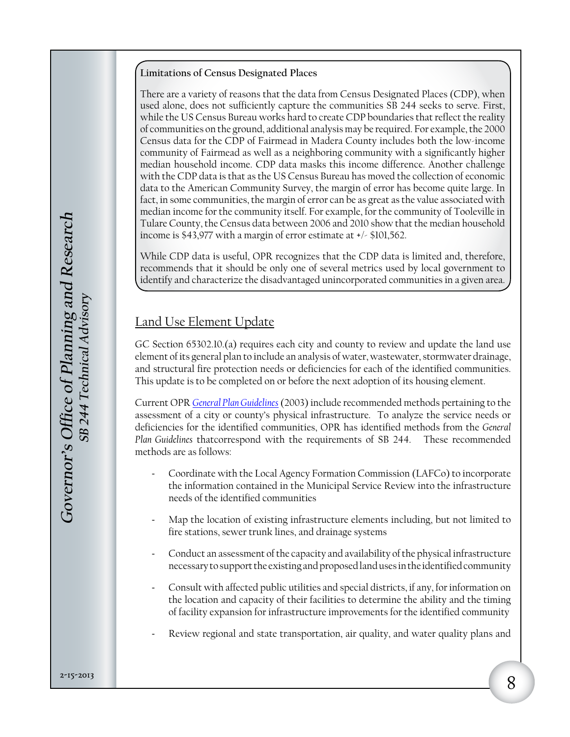#### **Limitations of Census Designated Places**

There are a variety of reasons that the data from Census Designated Places (CDP), when used alone, does not sufficiently capture the communities SB 244 seeks to serve. First, while the US Census Bureau works hard to create CDP boundaries that reflect the reality of communities on the ground, additional analysis may be required. For example, the 2000 Census data for the CDP of Fairmead in Madera County includes both the low-income community of Fairmead as well as a neighboring community with a significantly higher median household income. CDP data masks this income difference. Another challenge with the CDP data is that as the US Census Bureau has moved the collection of economic data to the American Community Survey, the margin of error has become quite large. In fact, in some communities, the margin of error can be as great as the value associated with median income for the community itself. For example, for the community of Tooleville in Tulare County, the Census data between 2006 and 2010 show that the median household income is \$43,977 with a margin of error estimate at +/- \$101,562.

While CDP data is useful, OPR recognizes that the CDP data is limited and, therefore, recommends that it should be only one of several metrics used by local government to identify and characterize the disadvantaged unincorporated communities in a given area.

### Land Use Element Update

GC Section 65302.10.(a) requires each city and county to review and update the land use element of its general plan to include an analysis of water, wastewater, stormwater drainage, and structural fire protection needs or deficiencies for each of the identified communities. This update is to be completed on or before the next adoption of its housing element.

Current OPR *[General Plan Guidelines](http://www.opr.ca.gov/s_generalplanguidelines.php)* (2003) include recommended methods pertaining to the assessment of a city or county's physical infrastructure. To analyze the service needs or deficiencies for the identified communities, OPR has identified methods from the *General Plan Guidelines* thatcorrespond with the requirements of SB 244. These recommended methods are as follows:

- Coordinate with the Local Agency Formation Commission (LAFCo) to incorporate the information contained in the Municipal Service Review into the infrastructure needs of the identified communities
- Map the location of existing infrastructure elements including, but not limited to fire stations, sewer trunk lines, and drainage systems
- Conduct an assessment of the capacity and availability of the physical infrastructure necessary to support the existing and proposed land uses in the identified community
- Consult with affected public utilities and special districts, if any, for information on the location and capacity of their facilities to determine the ability and the timing of facility expansion for infrastructure improvements for the identified community
- Review regional and state transportation, air quality, and water quality plans and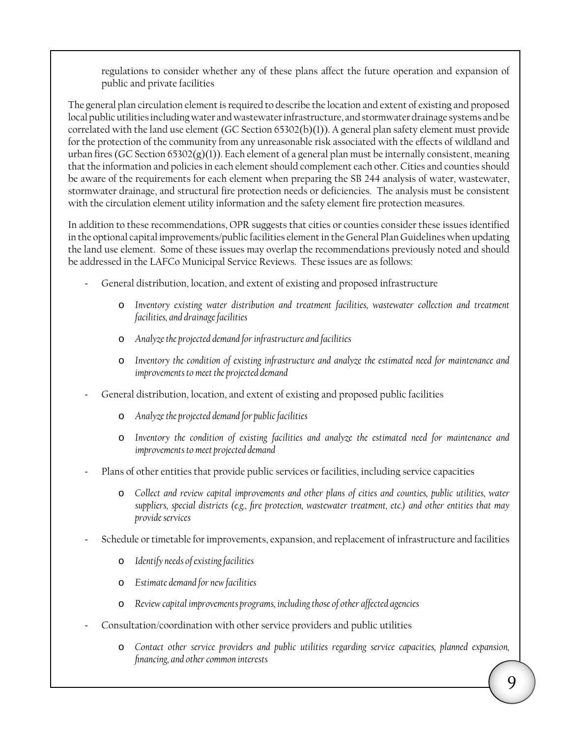regulations to consider whether any of these plans affect the future operation and expansion of public and private facilities

The general plan circulation element is required to describe the location and extent of existing and proposed local public utilities including water and wastewater infrastructure, and stormwater drainage systems and be correlated with the land use element (GC Section 65302(b)(1)). A general plan safety element must provide for the protection of the community from any unreasonable risk associated with the effects of wildland and urban fires (GC Section 65302(g)(1)). Each element of a general plan must be internally consistent, meaning that the information and policies in each element should complement each other. Cities and counties should be aware of the requirements for each element when preparing the SB 244 analysis of water, wastewater, stormwater drainage, and structural fire protection needs or deficiencies. The analysis must be consistent with the circulation element utility information and the safety element fire protection measures.

In addition to these recommendations, OPR suggests that cities or counties consider these issues identified in the optional capital improvements/public facilities element in the General Plan Guidelines when updating the land use element. Some of these issues may overlap the recommendations previously noted and should be addressed in the LAFCo Municipal Service Reviews. These issues are as follows:

- General distribution, location, and extent of existing and proposed infrastructure
	- o *Inventory existing water distribution and treatment facilities, wastewater collection and treatment facilities, and drainage facilities*
	- o *Analyze the projected demand for infrastructure and facilities*
	- o *Inventory the condition of existing infrastructure and analyze the estimated need for maintenance and improvements to meet the projected demand*
- General distribution, location, and extent of existing and proposed public facilities
	- o *Analyze the projected demand for public facilities*
	- o *Inventory the condition of existing facilities and analyze the estimated need for maintenance and improvements to meet projected demand*
- Plans of other entities that provide public services or facilities, including service capacities
	- o *Collect and review capital improvements and other plans of cities and counties, public utilities, water suppliers, special districts (e.g., fire protection, wastewater treatment, etc.) and other entities that may provide services*
- Schedule or timetable for improvements, expansion, and replacement of infrastructure and facilities
	- o *Identify needs of existing facilities*
	- o *Estimate demand for new facilities*
	- o *Review capital improvements programs, including those of other affected agencies*
- Consultation/coordination with other service providers and public utilities
	- o *Contact other service providers and public utilities regarding service capacities, planned expansion, financing, and other common interests*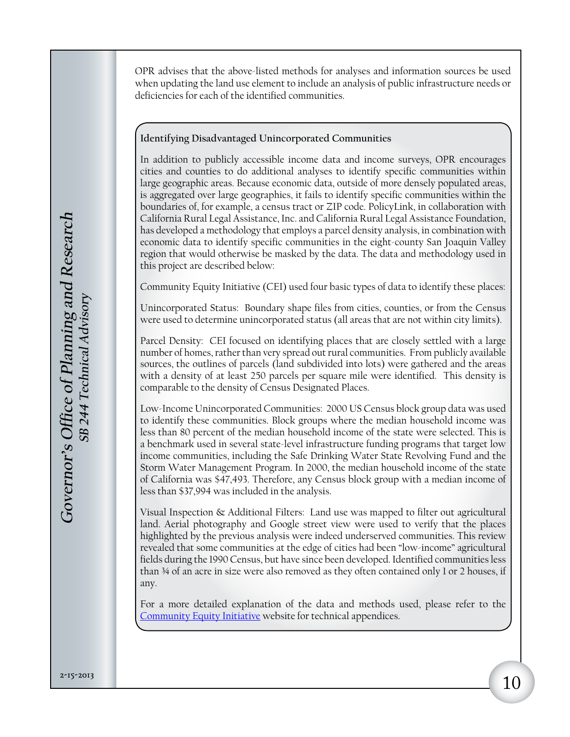OPR advises that the above-listed methods for analyses and information sources be used when updating the land use element to include an analysis of public infrastructure needs or deficiencies for each of the identified communities.

#### **Identifying Disadvantaged Unincorporated Communities**

In addition to publicly accessible income data and income surveys, OPR encourages cities and counties to do additional analyses to identify specific communities within large geographic areas. Because economic data, outside of more densely populated areas, is aggregated over large geographies, it fails to identify specific communities within the boundaries of, for example, a census tract or ZIP code. PolicyLink, in collaboration with California Rural Legal Assistance, Inc. and California Rural Legal Assistance Foundation, has developed a methodology that employs a parcel density analysis, in combination with economic data to identify specific communities in the eight-county San Joaquin Valley region that would otherwise be masked by the data. The data and methodology used in this project are described below:

Community Equity Initiative (CEI) used four basic types of data to identify these places:

Unincorporated Status: Boundary shape files from cities, counties, or from the Census were used to determine unincorporated status (all areas that are not within city limits).

Parcel Density: CEI focused on identifying places that are closely settled with a large number of homes, rather than very spread out rural communities. From publicly available sources, the outlines of parcels (land subdivided into lots) were gathered and the areas with a density of at least 250 parcels per square mile were identified. This density is comparable to the density of Census Designated Places.

Low-Income Unincorporated Communities: 2000 US Census block group data was used to identify these communities. Block groups where the median household income was less than 80 percent of the median household income of the state were selected. This is a benchmark used in several state-level infrastructure funding programs that target low income communities, including the Safe Drinking Water State Revolving Fund and the Storm Water Management Program. In 2000, the median household income of the state of California was \$47,493. Therefore, any Census block group with a median income of less than \$37,994 was included in the analysis.

Visual Inspection & Additional Filters: Land use was mapped to filter out agricultural land. Aerial photography and Google street view were used to verify that the places highlighted by the previous analysis were indeed underserved communities. This review revealed that some communities at the edge of cities had been "low-income" agricultural fields during the 1990 Census, but have since been developed. Identified communities less than 34 of an acre in size were also removed as they often contained only 1 or 2 houses, if any.

For a more detailed explanation of the data and methods used, please refer to the [Community Equity Initiative](http://www.crla.org/community-equity-initiative) website for technical appendices.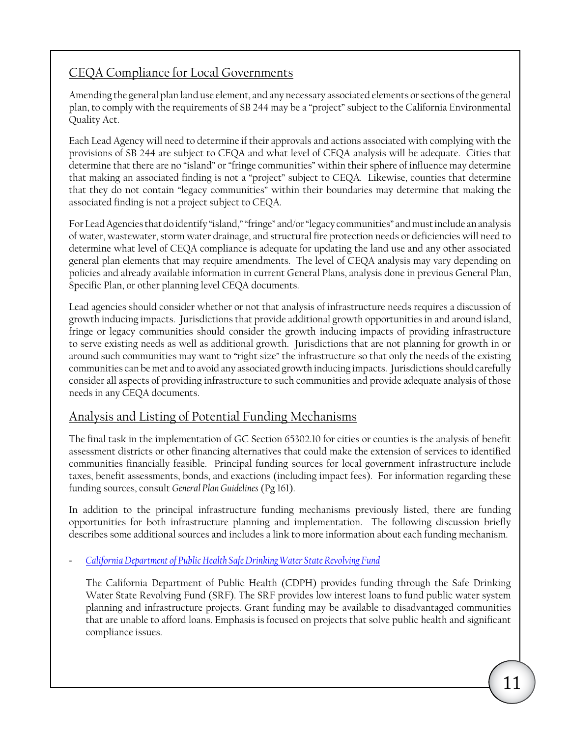### CEQA Compliance for Local Governments

Amending the general plan land use element, and any necessary associated elements or sections of the general plan, to comply with the requirements of SB 244 may be a "project" subject to the California Environmental Quality Act.

Each Lead Agency will need to determine if their approvals and actions associated with complying with the provisions of SB 244 are subject to CEQA and what level of CEQA analysis will be adequate. Cities that determine that there are no "island" or "fringe communities" within their sphere of influence may determine that making an associated finding is not a "project" subject to CEQA. Likewise, counties that determine that they do not contain "legacy communities" within their boundaries may determine that making the associated finding is not a project subject to CEQA.

For Lead Agencies that do identify "island," "fringe" and/or "legacy communities" and must include an analysis of water, wastewater, storm water drainage, and structural fire protection needs or deficiencies will need to determine what level of CEQA compliance is adequate for updating the land use and any other associated general plan elements that may require amendments. The level of CEQA analysis may vary depending on policies and already available information in current General Plans, analysis done in previous General Plan, Specific Plan, or other planning level CEQA documents.

Lead agencies should consider whether or not that analysis of infrastructure needs requires a discussion of growth inducing impacts. Jurisdictions that provide additional growth opportunities in and around island, fringe or legacy communities should consider the growth inducing impacts of providing infrastructure to serve existing needs as well as additional growth. Jurisdictions that are not planning for growth in or around such communities may want to "right size" the infrastructure so that only the needs of the existing communities can be met and to avoid any associated growth inducing impacts. Jurisdictions should carefully consider all aspects of providing infrastructure to such communities and provide adequate analysis of those needs in any CEQA documents.

### Analysis and Listing of Potential Funding Mechanisms

The final task in the implementation of GC Section [65302.10](https://65302.10) for cities or counties is the analysis of benefit assessment districts or other financing alternatives that could make the extension of services to identified communities financially feasible. Principal funding sources for local government infrastructure include taxes, benefit assessments, bonds, and exactions (including impact fees). For information regarding these funding sources, consult *General Plan Guidelines* (Pg 161).

In addition to the principal infrastructure funding mechanisms previously listed, there are funding opportunities for both infrastructure planning and implementation. The following discussion briefly describes some additional sources and includes a link to more information about each funding mechanism.

- *[California Department of Public Health Safe Drinking Water State Revolving Fund](http://www.cdph.ca.gov/services/funding/Pages/SRF.aspx)*

The California Department of Public Health (CDPH) provides funding through the Safe Drinking Water State Revolving Fund (SRF). The SRF provides low interest loans to fund public water system planning and infrastructure projects. Grant funding may be available to disadvantaged communities that are unable to afford loans. Emphasis is focused on projects that solve public health and significant compliance issues.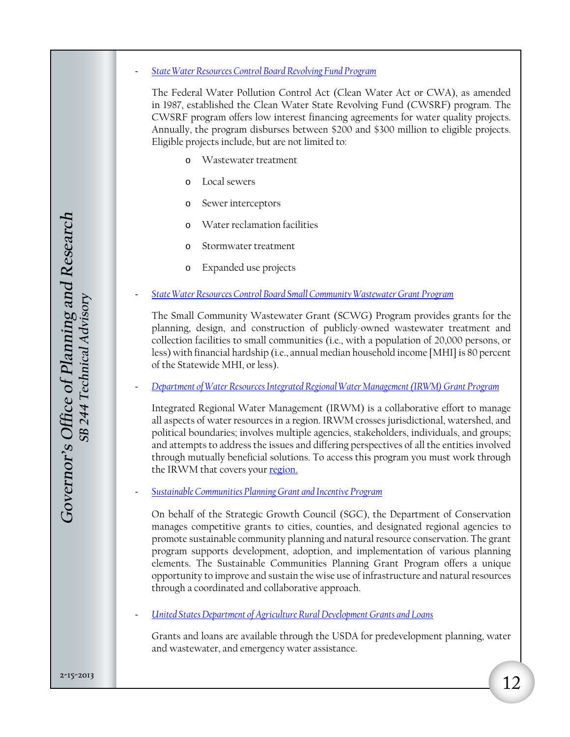- *[State Water Resources Control Board Revolving Fund Program](http://www.waterboards.ca.gov/water_issues/programs/grants_loans/srf/)*

The Federal Water Pollution Control Act (Clean Water Act or CWA), as amended in 1987, established the Clean Water State Revolving Fund (CWSRF) program. The CWSRF program offers low interest financing agreements for water quality projects. Annually, the program disburses between \$200 and \$300 million to eligible projects. Eligible projects include, but are not limited to:

- o Wastewater treatment
- o Local sewers
- o Sewer interceptors
- o Water reclamation facilities
- o Stormwater treatment
- o Expanded use projects
- *[State Water Resources Control Board Small Community Wastewater Grant Program](http://www.waterboards.ca.gov/water_issues/programs/grants_loans/)*

The Small Community Wastewater Grant (SCWG) Program provides grants for the planning, design, and construction of publicly-owned wastewater treatment and collection facilities to small communities (i.e., with a population of 20,000 persons, or less) with financial hardship (i.e., annual median household income [MHI] is 80 percent of the Statewide MHI, or less).

- *[Department of Water Resources Integrated Regional Water Management \(IRWM\) Grant Program](http://www.water.ca.gov/irwm/)*

Integrated Regional Water Management (IRWM) is a collaborative effort to manage all aspects of water resources in a region. IRWM crosses jurisdictional, watershed, and political boundaries; involves multiple agencies, stakeholders, individuals, and groups; and attempts to address the issues and differing perspectives of all the entities involved through mutually beneficial solutions. To access this program you must work through the IRWM that covers your [region.](http://www.water.ca.gov/irwm/integregio_fundingarea.cfm)

- *[Sustainable Communities Planning Grant and Incentive Program](http://www.sgc.ca.gov/planning_grants.html)*

On behalf of the Strategic Growth Council (SGC), the Department of Conservation manages competitive grants to cities, counties, and designated regional agencies to promote sustainable community planning and natural resource conservation. The grant program supports development, adoption, and implementation of various planning elements. The Sustainable Communities Planning Grant Program offers a unique opportunity to improve and sustain the wise use of infrastructure and natural resources through a coordinated and collaborative approach.

- *[United States Department of Agriculture Rural Development Grants and Loans](http://www.rurdev.usda.gov/RD_Grants.html)*

Grants and loans are available through the USDA for predevelopment planning, water and wastewater, and emergency water assistance.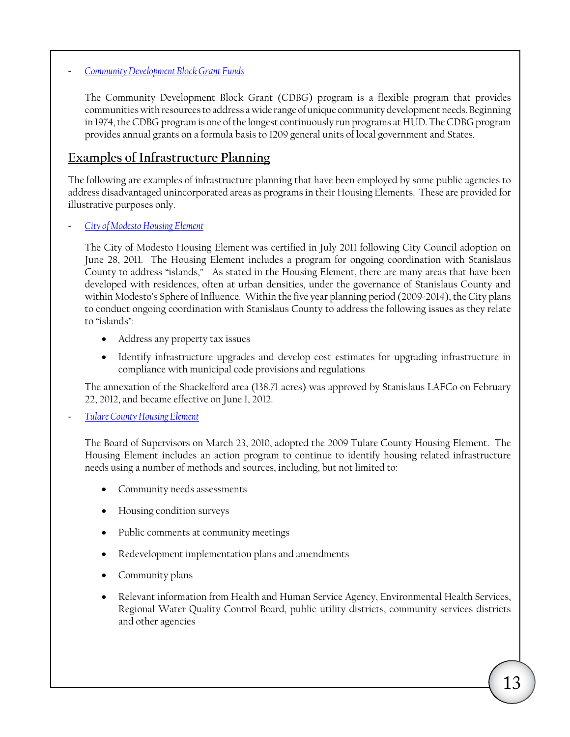#### - *[Community Development Block Grant Funds](http://portal.hud.gov/hudportal/HUD?src=/program_offices/comm_planning/communitydevelopment/programs)*

The Community Development Block Grant (CDBG) program is a flexible program that provides communities with resources to address a wide range of unique community development needs. Beginning in 1974, the CDBG program is one of the longest continuously run programs at HUD. The CDBG program provides annual grants on a formula basis to 1209 general units of local government and States.

### **Examples of Infrastructure Planning**

The following are examples of infrastructure planning that have been employed by some public agencies to address disadvantaged unincorporated areas as programs in their Housing Elements. These are provided for illustrative purposes only.

- *[City of Modesto Housing Element](http://www.ci.modesto.ca.us/ced/pdf/planning/documents/housing-element/GPA-08-001%20DOC%20Certified%20Housing%20Element%20July%202011.pdf)*

 County to address "islands," As stated in the Housing Element, there are many areas that have been The City of Modesto Housing Element was certified in July 2011 following City Council adoption on June 28, 2011. The Housing Element includes a program for ongoing coordination with Stanislaus developed with residences, often at urban densities, under the governance of Stanislaus County and within Modesto's Sphere of Influence. Within the five year planning period (2009-2014), the City plans to conduct ongoing coordination with Stanislaus County to address the following issues as they relate to "islands":

- Address any property tax issues
- Identify infrastructure upgrades and develop cost estimates for upgrading infrastructure in compliance with municipal code provisions and regulations

The annexation of the Shackelford area (138.71 acres) was approved by Stanislaus LAFCo on February 22, 2012, and became effective on June 1, 2012.

#### - *[Tulare County Housing Element](http://www.co.tulare.ca.us/civica/filebank/blobdload.asp?BlobID=5570)*

The Board of Supervisors on March 23, 2010, adopted the 2009 Tulare County Housing Element. The Housing Element includes an action program to continue to identify housing related infrastructure needs using a number of methods and sources, including, but not limited to:

- • Community needs assessments
- • Housing condition surveys
- Public comments at community meetings
- • Redevelopment implementation plans and amendments
- Community plans
- Relevant information from Health and Human Service Agency, Environmental Health Services, Regional Water Quality Control Board, public utility districts, community services districts and other agencies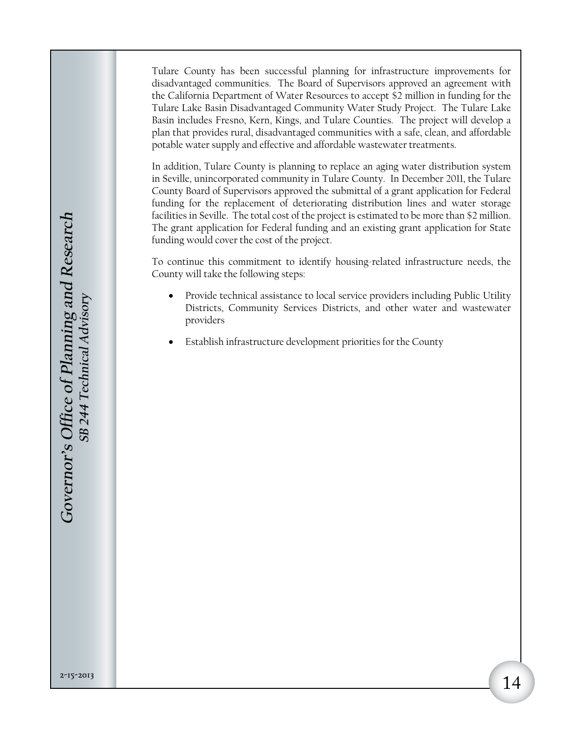Tulare County has been successful planning for infrastructure improvements for disadvantaged communities. The Board of Supervisors approved an agreement with the California Department of Water Resources to accept \$2 million in funding for the Tulare Lake Basin Disadvantaged Community Water Study Project. The Tulare Lake Basin includes Fresno, Kern, Kings, and Tulare Counties. The project will develop a plan that provides rural, disadvantaged communities with a safe, clean, and affordable potable water supply and effective and affordable wastewater treatments.

In addition, Tulare County is planning to replace an aging water distribution system in Seville, unincorporated community in Tulare County. In December 2011, the Tulare County Board of Supervisors approved the submittal of a grant application for Federal funding for the replacement of deteriorating distribution lines and water storage facilities in Seville. The total cost of the project is estimated to be more than \$2 million. The grant application for Federal funding and an existing grant application for State funding would cover the cost of the project.

To continue this commitment to identify housing-related infrastructure needs, the County will take the following steps:

- Provide technical assistance to local service providers including Public Utility Districts, Community Services Districts, and other water and wastewater providers
- Establish infrastructure development priorities for the County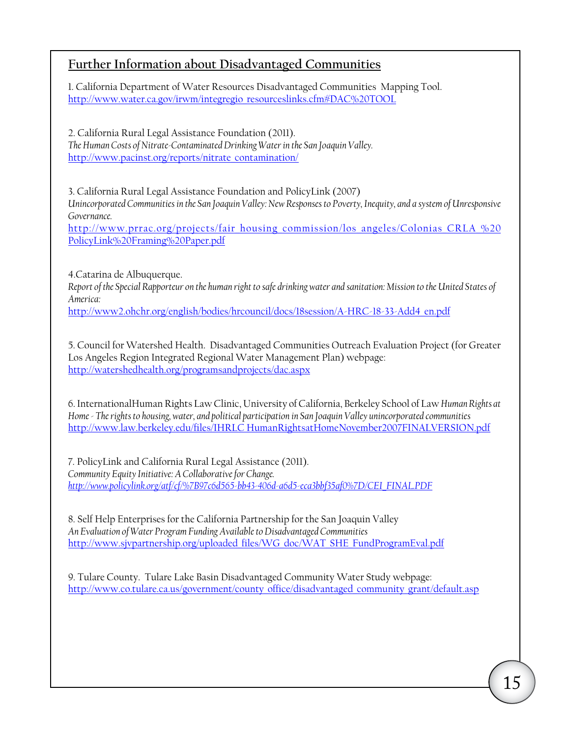### **Further Information about Disadvantaged Communities**

1. California Department of Water Resources Disadvantaged Communities Mapping Tool. [http://www.water.ca.gov/irwm/integregio\\_resourceslinks.cfm#DAC%20TOOL](http://www.water.ca.gov/irwm/integregio_resourceslinks.cfm#DAC%20TOOL)

2. California Rural Legal Assistance Foundation (2011). *The Human Costs of Nitrate-Contaminated Drinking Water in the San Joaquin Valley.* [http://www.pacinst.org/reports/nitrate\\_contamination/](http://www.pacinst.org/reports/nitrate_contamination/)

3. California Rural Legal Assistance Foundation and PolicyLink (2007) *Unincorporated Communities in the San Joaquin Valley: New Responses to Poverty, Inequity, and a system of Unresponsive Governance.* 

[http://www.prrac.org/projects/fair\\_housing\\_commission/los\\_angeles/Colonias\\_CRLA\\_%20](http://www.prrac.org/projects/fair_housing_commission/los_angeles/Colonias_CRLA_%20PolicyLink%20Framing%20Paper.pdf) [PolicyLink%20Framing%20Paper.pdf](http://www.prrac.org/projects/fair_housing_commission/los_angeles/Colonias_CRLA_%20PolicyLink%20Framing%20Paper.pdf)

4.Catarina de Albuquerque. *Report of the Special Rapporteur on the human right to safe drinking water and sanitation: Mission to the United States of America:*

[http://www2.ohchr.org/english/bodies/hrcouncil/docs/18session/A-HRC-18-33-Add4\\_en.pdf](http://www2.ohchr.org/english/bodies/hrcouncil/docs/18session/A-HRC-18-33-Add4_en.pdf)

5. Council for Watershed Health. Disadvantaged Communities Outreach Evaluation Project (for Greater Los Angeles Region Integrated Regional Water Management Plan) webpage: <http://watershedhealth.org/programsandprojects/dac.aspx>

6. InternationalHuman Rights Law Clinic, University of California, Berkeley School of Law *Human Rights at Home - The rights to housing, water, and political participation in San Joaquin Valley unincorporated communities* [http://www.law.berkeley.edu/files/IHRLC HumanRightsatHomeNovember2007FINALVERSION.pdf](http://www.law.berkeley.edu/files/IHRLC/HumanRightsatHomeNovember2007FINALVERSION.pdf)

7. PolicyLink and California Rural Legal Assistance (2011). *Community Equity Initiative: A Collaborative for Change. [http://www.policylink.org/atf/cf/%7B97c6d565-bb43-406d-a6d5-eca3bbf35af0%7D/CEI\\_FINAL.PDF](http://www.policylink.org/atf/cf/%7B97c6d565-bb43-406d-a6d5-eca3bbf35af0%7D/CEI_FINAL.PDF)*

8. Self Help Enterprises for the California Partnership for the San Joaquin Valley *An Evaluation of Water Program Funding Available to Disadvantaged Communities*  [http://www.sjvpartnership.org/uploaded\\_files/WG\\_doc/WAT\\_SHE\\_FundProgramEval.pdf](http://www.sjvpartnership.org/uploaded_files/WG_doc/WAT_SHE_FundProgramEval.pdf)

9. Tulare County. Tulare Lake Basin Disadvantaged Community Water Study webpage: [http://www.co.tulare.ca.us/government/county\\_office/disadvantaged\\_community\\_grant/default.asp](http://www.co.tulare.ca.us/government/county_office/disadvantaged_community_grant/default.asp)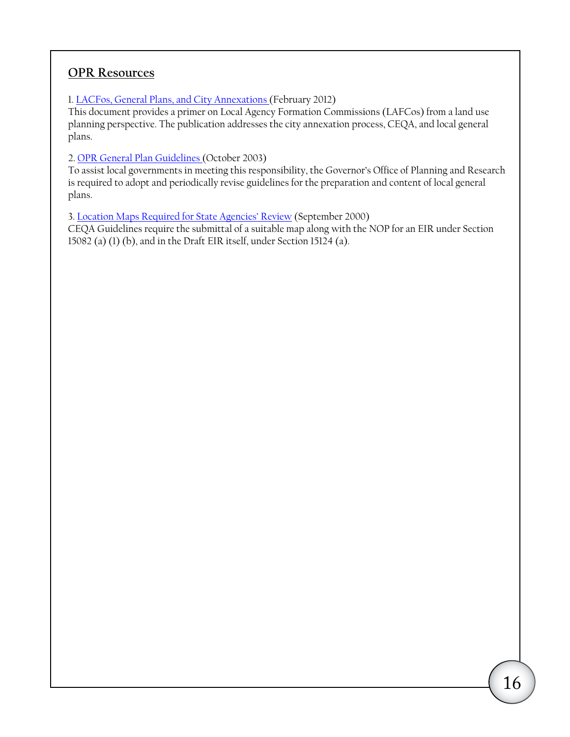### **OPR Resources**

1. [LACFos, General Plans, and City Annexations](http://www.opr.ca.gov/docs/LAFCOs_GeneralPlans_City_Annexations.pdf) (February 2012)

This document provides a primer on Local Agency Formation Commissions (LAFCos) from a land use planning perspective. The publication addresses the city annexation process, CEQA, and local general plans.

2. [OPR General Plan Guidelines](http://www.opr.ca.gov/s_generalplanguidelines.php) (October 2003)

To assist local governments in meeting this responsibility, the Governor's Office of Planning and Research is required to adopt and periodically revise guidelines for the preparation and content of local general plans.

3. [Location Maps Required for State Agencies' Review](http://opr.ca.gov/docs/Location_Maps.pdf) (September 2000) CEQA Guidelines require the submittal of a suitable map along with the NOP for an EIR under Section 15082 (a) (1) (b), and in the Draft EIR itself, under Section 15124 (a).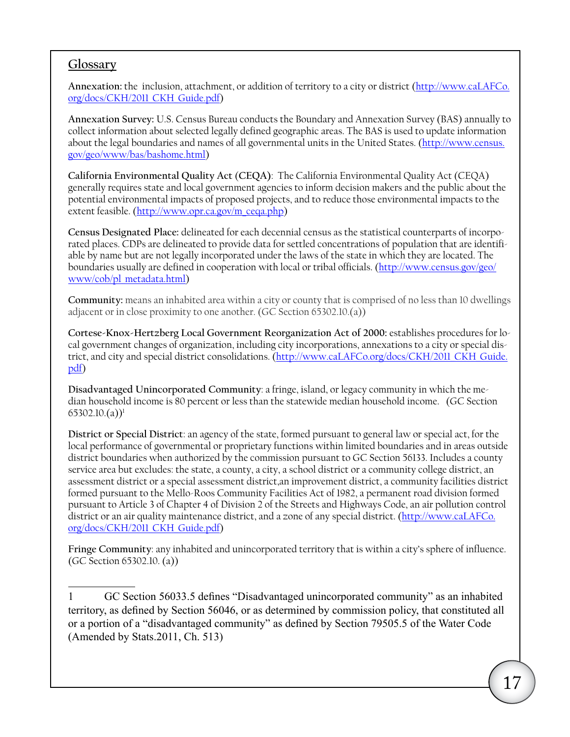### **Glossary**

**Annexation:** the inclusion, attachment, or addition of territory to a city or district ([http://www.caLAFCo.](http://www.caLAFCo.org/docs/CKH/2011_CKH_Guide.pdf) [org/docs/CKH/2011\\_CKH\\_Guide.pdf](http://www.caLAFCo.org/docs/CKH/2011_CKH_Guide.pdf))

**Annexation Survey:** U.S. Census Bureau conducts the Boundary and Annexation Survey (BAS) annually to collect information about selected legally defined geographic areas. The BAS is used to update information about the legal boundaries and names of all governmental units in the United States. ([http://www.census.](http://www.census.gov/geo/www/bas/bashome.html) [gov/geo/www/bas/bashome.html\)](http://www.census.gov/geo/www/bas/bashome.html)

**California Environmental Quality Act** (**CEQA)**: The California Environmental Quality Act (CEQA) generally requires state and local government agencies to inform decision makers and the public about the potential environmental impacts of proposed projects, and to reduce those environmental impacts to the extent feasible. ([http://www.opr.ca.gov/m\\_ceqa.php\)](http://www.opr.ca.gov/m_ceqa.php)

**Census Designated Place:** delineated for each decennial census as the statistical counterparts of incorporated places. CDPs are delineated to provide data for settled concentrations of population that are identifiable by name but are not legally incorporated under the laws of the state in which they are located. The boundaries usually are defined in cooperation with local or tribal officials. [\(http://www.census.gov/geo/](http://www.census.gov/geo/www/cob/pl_metadata.html) [www/cob/pl\\_metadata.html](http://www.census.gov/geo/www/cob/pl_metadata.html))

**Community:** means an inhabited area within a city or county that is comprised of no less than 10 dwellings adjacent or in close proximity to one another. (GC Section 65302.10.(a))

**Cortese-Knox-Hertzberg Local Government Reorganization Act of 2000:** establishes procedures for local government changes of organization, including city incorporations, annexations to a city or special district, and city and special district consolidations. ([http://www.caLAFCo.org/docs/CKH/2011\\_CKH\\_Guide.](http://www.calafco.org/docs/CKH/2011_CKH_Guide.pdf) [pdf](http://www.calafco.org/docs/CKH/2011_CKH_Guide.pdf))

**Disadvantaged Unincorporated Community**: a fringe, island, or legacy community in which the median household income is 80 percent or less than the statewide median household income. (GC Section  $65302.10.(a))^1$ 

**District or Special District**: an agency of the state, formed pursuant to general law or special act, for the local performance of governmental or proprietary functions within limited boundaries and in areas outside district boundaries when authorized by the commission pursuant to GC Section 56133. Includes a county service area but excludes: the state, a county, a city, a school district or a community college district, an assessment district or a special assessment district,an improvement district, a community facilities district formed pursuant to the Mello-Roos Community Facilities Act of 1982, a permanent road division formed pursuant to Article 3 of Chapter 4 of Division 2 of the Streets and Highways Code, an air pollution control district or an air quality maintenance district, and a zone of any special district. ([http://www.caLAFCo.](http://www.caLAFCo.org/docs/CKH/2011_CKH_Guide.pdf) [org/docs/CKH/2011\\_CKH\\_Guide.pdf](http://www.caLAFCo.org/docs/CKH/2011_CKH_Guide.pdf))

**Fringe Community**: any inhabited and unincorporated territory that is within a city's sphere of influence. (GC Section [65302.10](https://65302.10). (a))

 GC Section 56033.5 defines "Disadvantaged unincorporated community" as an inhabited territory, as defined by Section 56046, or as determined by commission policy, that constituted all or a portion of a "disadvantaged community" as defined by Section 79505.5 of the Water Code (Amended by Stats.2011, Ch. 513) 1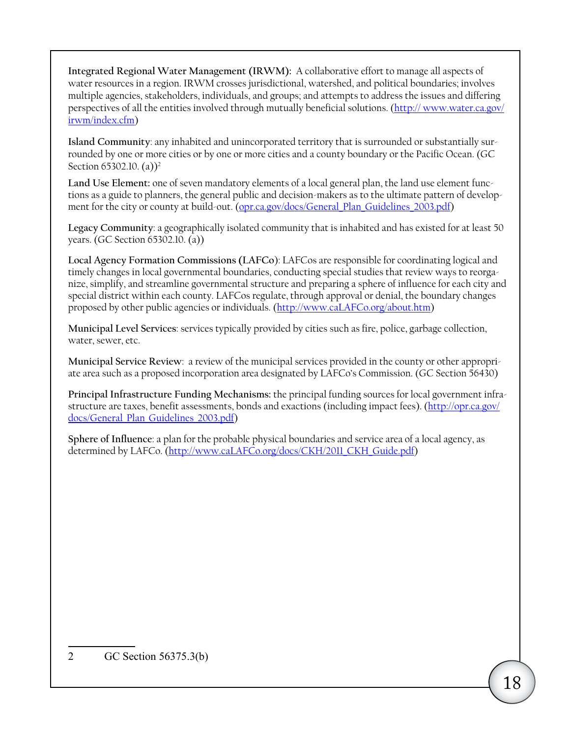**Integrated Regional Water Management (IRWM):** A collaborative effort to manage all aspects of water resources in a region. IRWM crosses jurisdictional, watershed, and political boundaries; involves multiple agencies, stakeholders, individuals, and groups; and attempts to address the issues and differing perspectives of all the entities involved through mutually beneficial solutions. (http:// [www.water.ca.gov/](http://www.water.ca.gov/irwm/index.cfm) [irwm/index.cfm\)](http://www.water.ca.gov/irwm/index.cfm)

**Island Community**: any inhabited and unincorporated territory that is surrounded or substantially surrounded by one or more cities or by one or more cities and a county boundary or the Pacific Ocean. (GC Section [65302.10](https://65302.10). (a))<sup>2</sup>

Land Use Element: one of seven mandatory elements of a local general plan, the land use element functions as a guide to planners, the general public and decision-makers as to the ultimate pattern of development for the city or county at build-out. ([opr.ca.gov/docs/General\\_Plan\\_Guidelines\\_2003.pdf\)](http://opr.ca.gov/docs/General_Plan_Guidelines_2003.pdf)

**Legacy Community**: a geographically isolated community that is inhabited and has existed for at least 50 years. (GC Section [65302.10](https://65302.10). (a))

**Local Agency Formation Commissions (LAFCo**): LAFCos are responsible for coordinating logical and timely changes in local governmental boundaries, conducting special studies that review ways to reorganize, simplify, and streamline governmental structure and preparing a sphere of influence for each city and special district within each county. LAFCos regulate, through approval or denial, the boundary changes proposed by other public agencies or individuals. ([http://www.caLAFCo.org/about.htm\)](http://www.caLAFCo.org/about.htm)

**Municipal Level Services**: services typically provided by cities such as fire, police, garbage collection, water, sewer, etc.

**Municipal Service Review**: a review of the municipal services provided in the county or other appropriate area such as a proposed incorporation area designated by LAFCo's Commission. (GC Section 56430)

**Principal Infrastructure Funding Mechanisms:** the principal funding sources for local government infrastructure are taxes, benefit assessments, bonds and exactions (including impact fees). ([http://opr.ca.gov/](http://opr.ca.gov/docs/General_Plan_Guidelines_2003.pdf) [docs/General\\_Plan\\_Guidelines\\_2003.pdf](http://opr.ca.gov/docs/General_Plan_Guidelines_2003.pdf))

**Sphere of Influence**: a plan for the probable physical boundaries and service area of a local agency, as determined by LAFCo. (http://www.caLAFCo.org/docs/CKH/2011 CKH\_Guide.pdf)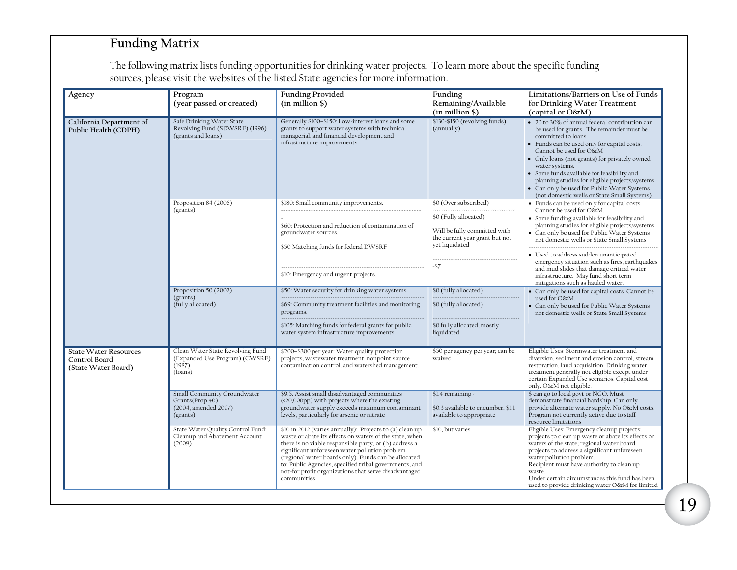## **Funding Matrix**

The following matrix lists funding opportunities for drinking water projects. To learn more about the specific funding sources, please visit the websites of the listed State agencies for more information.

| Agency                                                               | Program<br>(year passed or created)                                                     | <b>Funding Provided</b><br>$(in$ million $$)$                                                                                                                                                                                                                                                                                                                                                                             | Funding<br>Remaining/Available<br>$(in$ million $$)$                                                      | Limitations/Barriers on Use of Funds<br>for Drinking Water Treatment<br>(capital or O&M)                                                                                                                                                                                                                                                                                                                                                                      |
|----------------------------------------------------------------------|-----------------------------------------------------------------------------------------|---------------------------------------------------------------------------------------------------------------------------------------------------------------------------------------------------------------------------------------------------------------------------------------------------------------------------------------------------------------------------------------------------------------------------|-----------------------------------------------------------------------------------------------------------|---------------------------------------------------------------------------------------------------------------------------------------------------------------------------------------------------------------------------------------------------------------------------------------------------------------------------------------------------------------------------------------------------------------------------------------------------------------|
| California Department of<br>Public Health (CDPH)                     | Safe Drinking Water State<br>Revolving Fund (SDWSRF) (1996)<br>(grants and loans)       | Generally \$100-\$150: Low-interest loans and some<br>grants to support water systems with technical,<br>managerial, and financial development and<br>infrastructure improvements.                                                                                                                                                                                                                                        | \$130-\$150 (revolving funds)<br>(annually)                                                               | • 20 to 30% of annual federal contribution can<br>be used for grants. The remainder must be<br>committed to loans.<br>• Funds can be used only for capital costs.<br>Cannot be used for O&M<br>• Only loans (not grants) for privately owned<br>water systems.<br>• Some funds available for feasibility and<br>planning studies for eligible projects/systems.<br>• Can only be used for Public Water Systems<br>(not domestic wells or State Small Systems) |
|                                                                      | Proposition 84 (2006)<br>(grants)                                                       | \$180: Small community improvements.                                                                                                                                                                                                                                                                                                                                                                                      | \$0 (Over subscribed)                                                                                     | • Funds can be used only for capital costs.<br>Cannot be used for O&M.<br>• Some funding available for feasibility and<br>planning studies for eligible projects/systems.<br>• Can only be used for Public Water Systems<br>not domestic wells or State Small Systems                                                                                                                                                                                         |
|                                                                      |                                                                                         | \$60: Protection and reduction of contamination of<br>groundwater sources.<br>\$50 Matching funds for federal DWSRF                                                                                                                                                                                                                                                                                                       | \$0 (Fully allocated)<br>Will be fully committed with<br>the current year grant but not<br>yet liquidated |                                                                                                                                                                                                                                                                                                                                                                                                                                                               |
|                                                                      |                                                                                         | \$10: Emergency and urgent projects.                                                                                                                                                                                                                                                                                                                                                                                      | $-57$                                                                                                     | · Used to address sudden unanticipated<br>emergency situation such as fires, earthquakes<br>and mud slides that damage critical water<br>infrastructure. May fund short term<br>mitigations such as hauled water.                                                                                                                                                                                                                                             |
|                                                                      | Proposition 50 (2002)<br>(grants)<br>(fully allocated)                                  | \$50: Water security for drinking water systems.<br>\$69: Community treatment facilities and monitoring<br>programs.                                                                                                                                                                                                                                                                                                      | \$0 (fully allocated)<br>\$0 (fully allocated)                                                            | • Can only be used for capital costs. Cannot be<br>used for O&M.<br>• Can only be used for Public Water Systems<br>not domestic wells or State Small Systems                                                                                                                                                                                                                                                                                                  |
|                                                                      |                                                                                         | \$105: Matching funds for federal grants for public<br>water system infrastructure improvements.                                                                                                                                                                                                                                                                                                                          | \$0 fully allocated, mostly<br>liquidated                                                                 |                                                                                                                                                                                                                                                                                                                                                                                                                                                               |
| <b>State Water Resources</b><br>Control Board<br>(State Water Board) | Clean Water State Revolving Fund<br>(Expanded Use Program) (CWSRF)<br>(1987)<br>(loans) | \$200-\$300 per year: Water quality protection<br>projects, wastewater treatment, nonpoint source<br>contamination control, and watershed management.                                                                                                                                                                                                                                                                     | \$50 per agency per year; can be<br>waived                                                                | Eligible Uses: Stormwater treatment and<br>diversion, sediment and erosion control, stream<br>restoration, land acquisition. Drinking water<br>treatment generally not eligible except under<br>certain Expanded Use scenarios. Capital cost<br>only. O&M not eligible.                                                                                                                                                                                       |
|                                                                      | Small Community Groundwater<br>Grants(Prop 40)<br>(2004, amended 2007)<br>(grants)      | \$9.5. Assist small disadvantaged communities<br>(<20,000pp) with projects where the existing<br>groundwater supply exceeds maximum contaminant<br>levels, particularly for arsenic or nitrate                                                                                                                                                                                                                            | \$1.4 remaining<br>\$0.3 available to encumber; \$1.1<br>available to appropriate                         | \$ can go to local govt or NGO. Must<br>demonstrate financial hardship. Can only<br>provide alternate water supply. No O&M costs.<br>Program not currently active due to staff<br>resource limitations                                                                                                                                                                                                                                                        |
|                                                                      | State Water Quality Control Fund:<br>Cleanup and Abatement Account<br>(2009)            | \$10 in 2012 (varies annually): Projects to (a) clean up<br>waste or abate its effects on waters of the state, when<br>there is no viable responsible party, or (b) address a<br>significant unforeseen water pollution problem<br>(regional water boards only). Funds can be allocated<br>to: Public Agencies, specified tribal governments, and<br>not-for profit organizations that serve disadvantaged<br>communities | \$10, but varies.                                                                                         | Eligible Uses: Emergency cleanup projects;<br>projects to clean up waste or abate its effects on<br>waters of the state; regional water board<br>projects to address a significant unforeseen<br>water pollution problem.<br>Recipient must have authority to clean up<br>waste.<br>Under certain circumstances this fund has been<br>used to provide drinking water O&M for limited                                                                          |